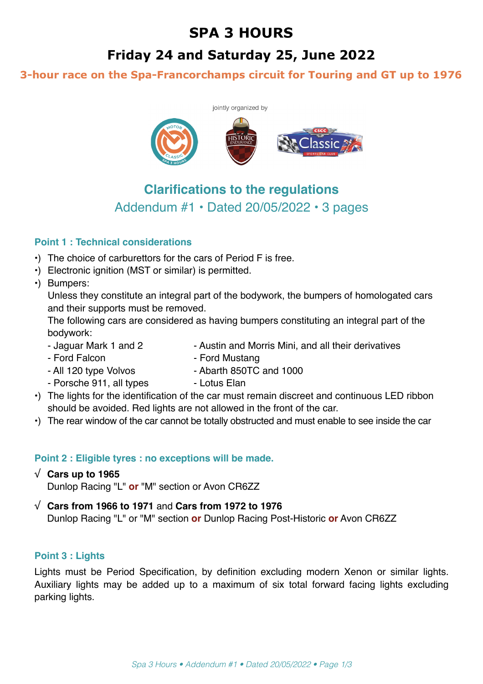# **SPA 3 HOURS**

# Friday 24 and Saturday 25, June 2022

## 3-hour race on the Spa-Francorchamps circuit for Touring and GT up to 1976



## **Clarifications to the regulations**  Addendum #1 • Dated 20/05/2022 • 3 pages

## **Point 1 : Technical considerations**

- •) The choice of carburettors for the cars of Period F is free.
- •) Electronic ignition (MST or similar) is permitted.
- •) Bumpers:

Unless they constitute an integral part of the bodywork, the bumpers of homologated cars and their supports must be removed.

The following cars are considered as having bumpers constituting an integral part of the bodywork:

- Jaguar Mark 1 and 2 Austin and Morris Mini, and all their derivatives
	-
- Ford Falcon  **Ford Mustang**
- 
- All 120 type Volvos Abarth 850TC and 1000
- Porsche 911, all types Lotus Elan
- •) The lights for the identification of the car must remain discreet and continuous LED ribbon should be avoided. Red lights are not allowed in the front of the car.
- •) The rear window of the car cannot be totally obstructed and must enable to see inside the car

## **Point 2 : Eligible tyres : no exceptions will be made.**

## √ **Cars up to 1965**

Dunlop Racing "L" **or** "M" section or Avon CR6ZZ

## √ **Cars from 1966 to 1971** and **Cars from 1972 to 1976**

Dunlop Racing "L" or "M" section **or** Dunlop Racing Post-Historic **or** Avon CR6ZZ

## **Point 3 : Lights**

Lights must be Period Specification, by definition excluding modern Xenon or similar lights. Auxiliary lights may be added up to a maximum of six total forward facing lights excluding parking lights.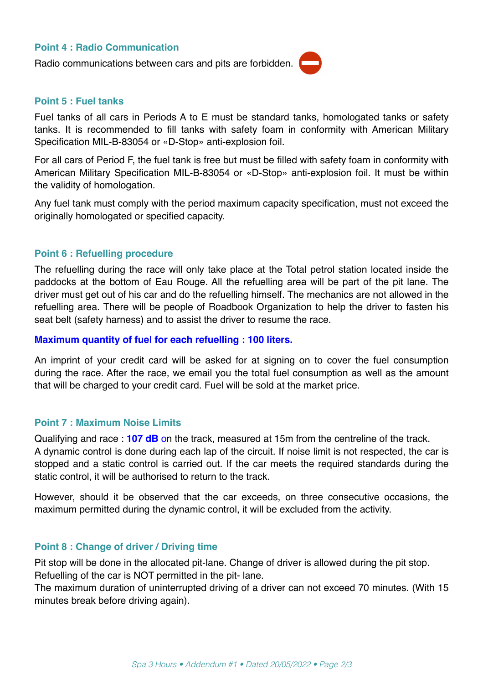#### **Point 4 : Radio Communication**

Radio communications between cars and pits are forbidden.



#### **Point 5 : Fuel tanks**

Fuel tanks of all cars in Periods A to E must be standard tanks, homologated tanks or safety tanks. It is recommended to fill tanks with safety foam in conformity with American Military Specification MIL-B-83054 or «D-Stop» anti-explosion foil.

For all cars of Period F, the fuel tank is free but must be filled with safety foam in conformity with American Military Specification MIL-B-83054 or «D-Stop» anti-explosion foil. It must be within the validity of homologation.

Any fuel tank must comply with the period maximum capacity specification, must not exceed the originally homologated or specified capacity.

#### **Point 6 : Refuelling procedure**

The refuelling during the race will only take place at the Total petrol station located inside the paddocks at the bottom of Eau Rouge. All the refuelling area will be part of the pit lane. The driver must get out of his car and do the refuelling himself. The mechanics are not allowed in the refuelling area. There will be people of Roadbook Organization to help the driver to fasten his seat belt (safety harness) and to assist the driver to resume the race.

#### **Maximum quantity of fuel for each refuelling : 100 liters.**

An imprint of your credit card will be asked for at signing on to cover the fuel consumption during the race. After the race, we email you the total fuel consumption as well as the amount that will be charged to your credit card. Fuel will be sold at the market price.

#### **Point 7 : Maximum Noise Limits**

Qualifying and race : **107 dB** on the track, measured at 15m from the centreline of the track. A dynamic control is done during each lap of the circuit. If noise limit is not respected, the car is stopped and a static control is carried out. If the car meets the required standards during the static control, it will be authorised to return to the track.

However, should it be observed that the car exceeds, on three consecutive occasions, the maximum permitted during the dynamic control, it will be excluded from the activity.

#### **Point 8 : Change of driver / Driving time**

Pit stop will be done in the allocated pit-lane. Change of driver is allowed during the pit stop. Refuelling of the car is NOT permitted in the pit- lane.

The maximum duration of uninterrupted driving of a driver can not exceed 70 minutes. (With 15 minutes break before driving again).